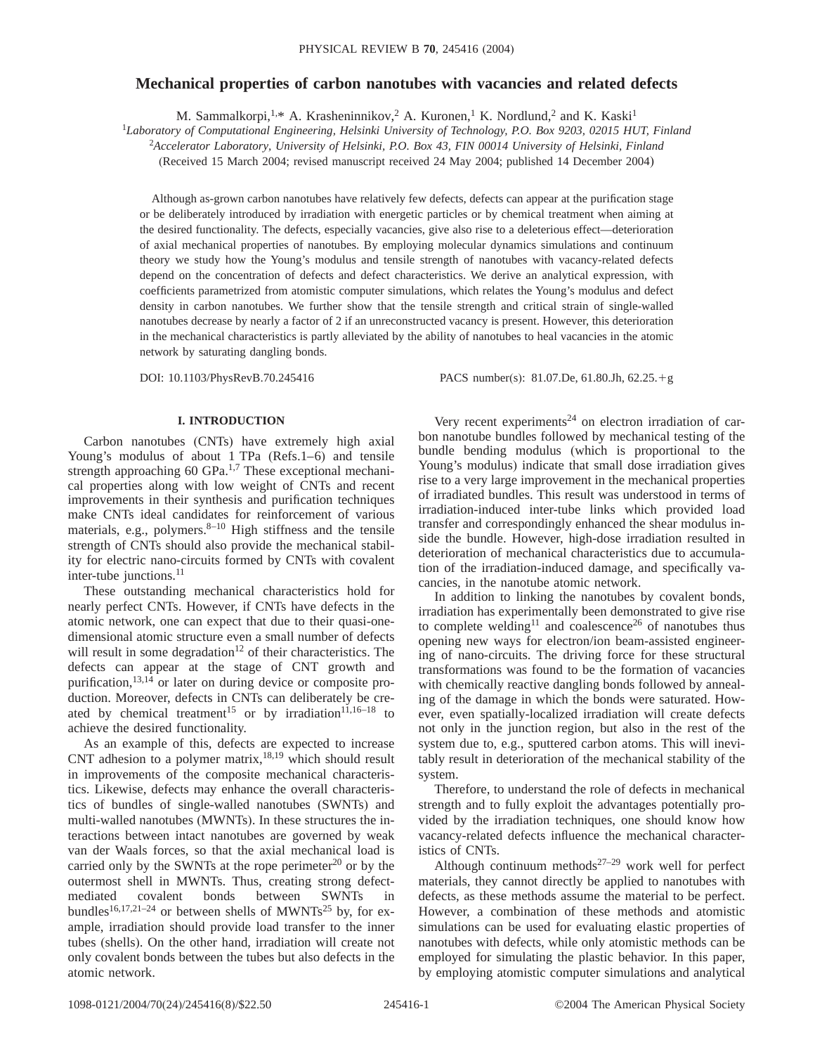# **Mechanical properties of carbon nanotubes with vacancies and related defects**

M. Sammalkorpi,<sup>1,\*</sup> A. Krasheninnikov,<sup>2</sup> A. Kuronen,<sup>1</sup> K. Nordlund,<sup>2</sup> and K. Kaski<sup>1</sup>

<sup>1</sup>*Laboratory of Computational Engineering, Helsinki University of Technology, P.O. Box 9203, 02015 HUT, Finland*

2 *Accelerator Laboratory, University of Helsinki, P.O. Box 43, FIN 00014 University of Helsinki, Finland*

(Received 15 March 2004; revised manuscript received 24 May 2004; published 14 December 2004)

Although as-grown carbon nanotubes have relatively few defects, defects can appear at the purification stage or be deliberately introduced by irradiation with energetic particles or by chemical treatment when aiming at the desired functionality. The defects, especially vacancies, give also rise to a deleterious effect—deterioration of axial mechanical properties of nanotubes. By employing molecular dynamics simulations and continuum theory we study how the Young's modulus and tensile strength of nanotubes with vacancy-related defects depend on the concentration of defects and defect characteristics. We derive an analytical expression, with coefficients parametrized from atomistic computer simulations, which relates the Young's modulus and defect density in carbon nanotubes. We further show that the tensile strength and critical strain of single-walled nanotubes decrease by nearly a factor of 2 if an unreconstructed vacancy is present. However, this deterioration in the mechanical characteristics is partly alleviated by the ability of nanotubes to heal vacancies in the atomic network by saturating dangling bonds.

DOI: 10.1103/PhysRevB.70.245416 PACS number(s): 81.07.De, 61.80.Jh, 62.25.+g

### **I. INTRODUCTION**

Carbon nanotubes (CNTs) have extremely high axial Young's modulus of about 1 TPa (Refs.1–6) and tensile strength approaching 60 GPa.<sup>1,7</sup> These exceptional mechanical properties along with low weight of CNTs and recent improvements in their synthesis and purification techniques make CNTs ideal candidates for reinforcement of various materials, e.g., polymers. $8-10$  High stiffness and the tensile strength of CNTs should also provide the mechanical stability for electric nano-circuits formed by CNTs with covalent inter-tube junctions. $^{11}$ 

These outstanding mechanical characteristics hold for nearly perfect CNTs. However, if CNTs have defects in the atomic network, one can expect that due to their quasi-onedimensional atomic structure even a small number of defects will result in some degradation<sup>12</sup> of their characteristics. The defects can appear at the stage of CNT growth and purification, <sup>13,14</sup> or later on during device or composite production. Moreover, defects in CNTs can deliberately be created by chemical treatment<sup>15</sup> or by irradiation<sup>11,16–18</sup> to achieve the desired functionality.

As an example of this, defects are expected to increase CNT adhesion to a polymer matrix,18,19 which should result in improvements of the composite mechanical characteristics. Likewise, defects may enhance the overall characteristics of bundles of single-walled nanotubes (SWNTs) and multi-walled nanotubes (MWNTs). In these structures the interactions between intact nanotubes are governed by weak van der Waals forces, so that the axial mechanical load is carried only by the SWNTs at the rope perimeter<sup>20</sup> or by the outermost shell in MWNTs. Thus, creating strong defectmediated covalent bonds between SWNTs in bundles<sup>16,17,21–24</sup> or between shells of MWNTs<sup>25</sup> by, for example, irradiation should provide load transfer to the inner tubes (shells). On the other hand, irradiation will create not only covalent bonds between the tubes but also defects in the atomic network.

Very recent experiments<sup>24</sup> on electron irradiation of carbon nanotube bundles followed by mechanical testing of the bundle bending modulus (which is proportional to the Young's modulus) indicate that small dose irradiation gives rise to a very large improvement in the mechanical properties of irradiated bundles. This result was understood in terms of irradiation-induced inter-tube links which provided load transfer and correspondingly enhanced the shear modulus inside the bundle. However, high-dose irradiation resulted in deterioration of mechanical characteristics due to accumulation of the irradiation-induced damage, and specifically vacancies, in the nanotube atomic network.

In addition to linking the nanotubes by covalent bonds, irradiation has experimentally been demonstrated to give rise to complete welding<sup>11</sup> and coalescence<sup>26</sup> of nanotubes thus opening new ways for electron/ion beam-assisted engineering of nano-circuits. The driving force for these structural transformations was found to be the formation of vacancies with chemically reactive dangling bonds followed by annealing of the damage in which the bonds were saturated. However, even spatially-localized irradiation will create defects not only in the junction region, but also in the rest of the system due to, e.g., sputtered carbon atoms. This will inevitably result in deterioration of the mechanical stability of the system.

Therefore, to understand the role of defects in mechanical strength and to fully exploit the advantages potentially provided by the irradiation techniques, one should know how vacancy-related defects influence the mechanical characteristics of CNTs.

Although continuum methods<sup>27–29</sup> work well for perfect materials, they cannot directly be applied to nanotubes with defects, as these methods assume the material to be perfect. However, a combination of these methods and atomistic simulations can be used for evaluating elastic properties of nanotubes with defects, while only atomistic methods can be employed for simulating the plastic behavior. In this paper, by employing atomistic computer simulations and analytical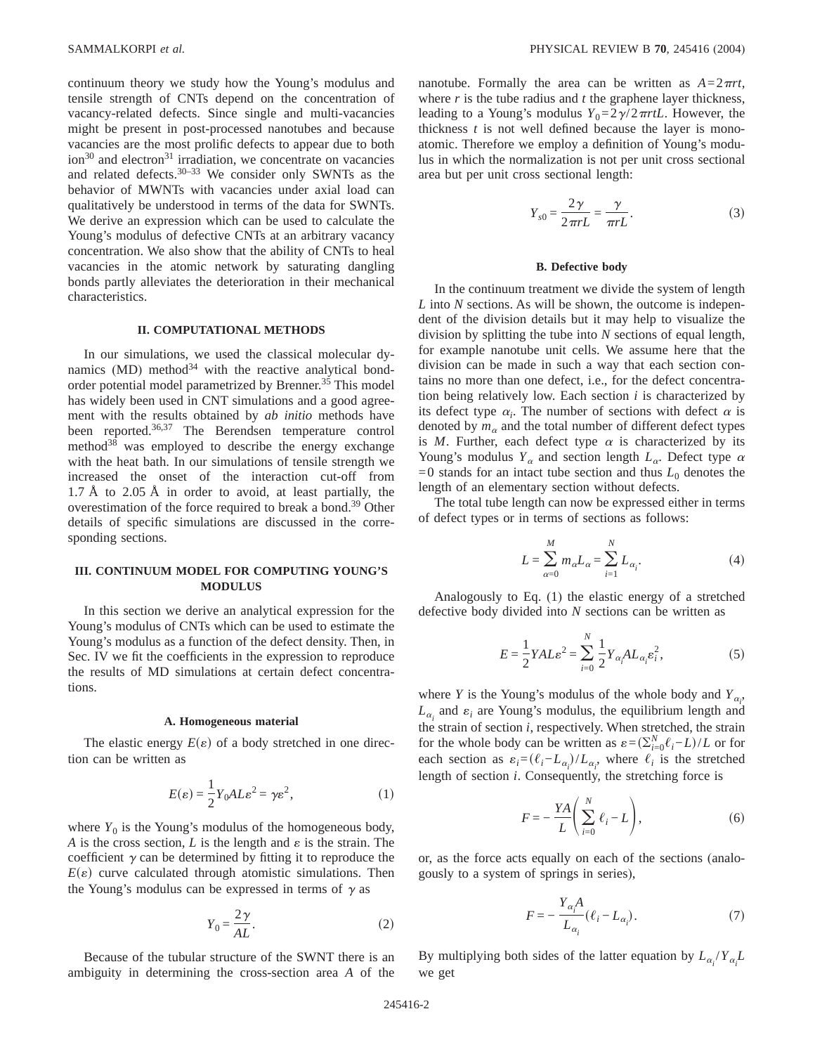continuum theory we study how the Young's modulus and tensile strength of CNTs depend on the concentration of vacancy-related defects. Since single and multi-vacancies might be present in post-processed nanotubes and because vacancies are the most prolific defects to appear due to both  $\mu$ <sup>30</sup> and electron<sup>31</sup> irradiation, we concentrate on vacancies and related defects.30–33 We consider only SWNTs as the behavior of MWNTs with vacancies under axial load can qualitatively be understood in terms of the data for SWNTs. We derive an expression which can be used to calculate the Young's modulus of defective CNTs at an arbitrary vacancy concentration. We also show that the ability of CNTs to heal vacancies in the atomic network by saturating dangling bonds partly alleviates the deterioration in their mechanical characteristics.

### **II. COMPUTATIONAL METHODS**

In our simulations, we used the classical molecular dynamics (MD) method $34$  with the reactive analytical bondorder potential model parametrized by Brenner.<sup>35</sup> This model has widely been used in CNT simulations and a good agreement with the results obtained by *ab initio* methods have been reported.36,37 The Berendsen temperature control method<sup>38</sup> was employed to describe the energy exchange with the heat bath. In our simulations of tensile strength we increased the onset of the interaction cut-off from 1.7 Å to 2.05 Å in order to avoid, at least partially, the overestimation of the force required to break a bond.39 Other details of specific simulations are discussed in the corresponding sections.

### **III. CONTINUUM MODEL FOR COMPUTING YOUNG'S MODULUS**

In this section we derive an analytical expression for the Young's modulus of CNTs which can be used to estimate the Young's modulus as a function of the defect density. Then, in Sec. IV we fit the coefficients in the expression to reproduce the results of MD simulations at certain defect concentrations.

#### **A. Homogeneous material**

The elastic energy  $E(\varepsilon)$  of a body stretched in one direction can be written as

$$
E(\varepsilon) = \frac{1}{2} Y_0 A L \varepsilon^2 = \gamma \varepsilon^2, \tag{1}
$$

where  $Y_0$  is the Young's modulus of the homogeneous body, *A* is the cross section, *L* is the length and  $\varepsilon$  is the strain. The coefficient  $\gamma$  can be determined by fitting it to reproduce the  $E(\varepsilon)$  curve calculated through atomistic simulations. Then the Young's modulus can be expressed in terms of  $\gamma$  as

$$
Y_0 = \frac{2\gamma}{AL}.\tag{2}
$$

Because of the tubular structure of the SWNT there is an ambiguity in determining the cross-section area *A* of the nanotube. Formally the area can be written as  $A=2\pi rt$ , where *r* is the tube radius and *t* the graphene layer thickness, leading to a Young's modulus  $Y_0 = 2\gamma/2\pi r tL$ . However, the thickness *t* is not well defined because the layer is monoatomic. Therefore we employ a definition of Young's modulus in which the normalization is not per unit cross sectional area but per unit cross sectional length:

$$
Y_{s0} = \frac{2\gamma}{2\pi rL} = \frac{\gamma}{\pi rL}.
$$
 (3)

#### **B. Defective body**

In the continuum treatment we divide the system of length *L* into *N* sections. As will be shown, the outcome is independent of the division details but it may help to visualize the division by splitting the tube into *N* sections of equal length, for example nanotube unit cells. We assume here that the division can be made in such a way that each section contains no more than one defect, i.e., for the defect concentration being relatively low. Each section *i* is characterized by its defect type  $\alpha_i$ . The number of sections with defect  $\alpha$  is denoted by  $m_{\alpha}$  and the total number of different defect types is *M*. Further, each defect type  $\alpha$  is characterized by its Young's modulus  $Y_\alpha$  and section length  $L_\alpha$ . Defect type  $\alpha$  $=0$  stands for an intact tube section and thus  $L_0$  denotes the length of an elementary section without defects.

The total tube length can now be expressed either in terms of defect types or in terms of sections as follows:

$$
L = \sum_{\alpha=0}^{M} m_{\alpha} L_{\alpha} = \sum_{i=1}^{N} L_{\alpha_i}.
$$
 (4)

Analogously to Eq. (1) the elastic energy of a stretched defective body divided into *N* sections can be written as

$$
E = \frac{1}{2} Y A L \varepsilon^2 = \sum_{i=0}^{N} \frac{1}{2} Y_{\alpha_i} A L_{\alpha_i} \varepsilon_i^2,
$$
 (5)

where *Y* is the Young's modulus of the whole body and  $Y_{\alpha_i}$ ,  $L_{\alpha}$  and  $\varepsilon_i$  are Young's modulus, the equilibrium length and the strain of section *i*, respectively. When stretched, the strain for the whole body can be written as  $\varepsilon = (\sum_{i=0}^{N} \ell_i - L)/L$  or for each section as  $\varepsilon_i = (\ell_i - L_{\alpha_i})/L_{\alpha_i}$ , where  $\ell_i$  is the stretched length of section *i*. Consequently, the stretching force is

$$
F = -\frac{YA}{L} \left( \sum_{i=0}^{N} \ell_i - L \right),\tag{6}
$$

or, as the force acts equally on each of the sections (analogously to a system of springs in series),

$$
F = -\frac{Y_{\alpha_i^A}}{L_{\alpha_i}} (\ell_i - L_{\alpha_i}).
$$
\n(7)

By multiplying both sides of the latter equation by  $L_{\alpha_i}/Y_{\alpha_i}L$ we get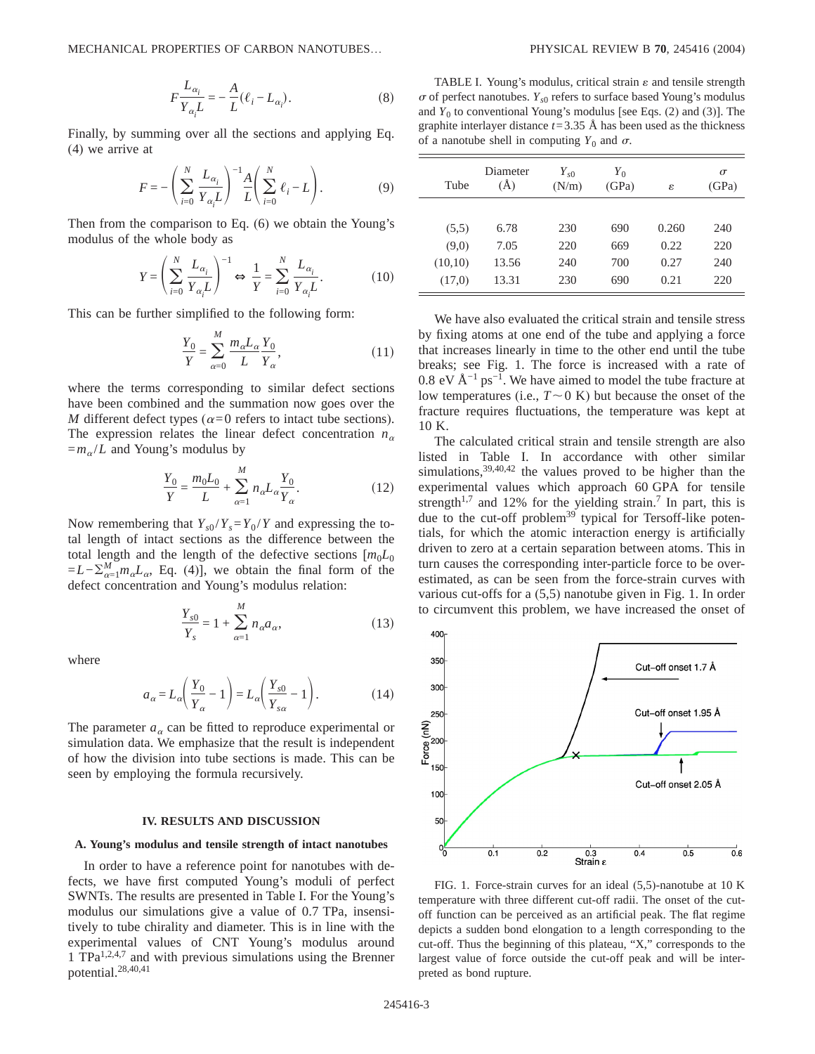$$
F\frac{L_{\alpha_i}}{Y_{\alpha_i}L} = -\frac{A}{L}(\ell_i - L_{\alpha_i}).
$$
\n(8)

Finally, by summing over all the sections and applying Eq. (4) we arrive at

$$
F = -\left(\sum_{i=0}^{N} \frac{L_{\alpha_i}}{Y_{\alpha_i} L}\right)^{-1} \frac{A}{L} \left(\sum_{i=0}^{N} \ell_i - L\right).
$$
 (9)

Then from the comparison to Eq. (6) we obtain the Young's modulus of the whole body as

$$
Y = \left(\sum_{i=0}^{N} \frac{L_{\alpha_i}}{Y_{\alpha_i} L}\right)^{-1} \Leftrightarrow \frac{1}{Y} = \sum_{i=0}^{N} \frac{L_{\alpha_i}}{Y_{\alpha_i} L}.
$$
 (10)

This can be further simplified to the following form:

$$
\frac{Y_0}{Y} = \sum_{\alpha=0}^{M} \frac{m_{\alpha} L_{\alpha}}{L} \frac{Y_0}{Y_{\alpha}},\tag{11}
$$

where the terms corresponding to similar defect sections have been combined and the summation now goes over the *M* different defect types ( $\alpha = 0$  refers to intact tube sections). The expression relates the linear defect concentration  $n_{\alpha}$  $=m<sub>\alpha</sub>/L$  and Young's modulus by

$$
\frac{Y_0}{Y} = \frac{m_0 L_0}{L} + \sum_{\alpha=1}^{M} n_{\alpha} L_{\alpha} \frac{Y_0}{Y_{\alpha}}.
$$
 (12)

Now remembering that  $Y_{s0}/Y_s = Y_0/Y$  and expressing the total length of intact sections as the difference between the total length and the length of the defective sections  $[m_0L_0]$  $=L-\sum_{\alpha=1}^{M}m_{\alpha}L_{\alpha}$ , Eq. (4)], we obtain the final form of the defect concentration and Young's modulus relation:

$$
\frac{Y_{s0}}{Y_s} = 1 + \sum_{\alpha=1}^{M} n_{\alpha} a_{\alpha},
$$
\n(13)

where

$$
a_{\alpha} = L_{\alpha} \left( \frac{Y_0}{Y_{\alpha}} - 1 \right) = L_{\alpha} \left( \frac{Y_{s0}}{Y_{s\alpha}} - 1 \right). \tag{14}
$$

The parameter  $a_{\alpha}$  can be fitted to reproduce experimental or simulation data. We emphasize that the result is independent of how the division into tube sections is made. This can be seen by employing the formula recursively.

#### **IV. RESULTS AND DISCUSSION**

## **A. Young's modulus and tensile strength of intact nanotubes**

In order to have a reference point for nanotubes with defects, we have first computed Young's moduli of perfect SWNTs. The results are presented in Table I. For the Young's modulus our simulations give a value of 0.7 TPa, insensitively to tube chirality and diameter. This is in line with the experimental values of CNT Young's modulus around 1 TPa1,2,4,7 and with previous simulations using the Brenner potential.28,40,41

TABLE I. Young's modulus, critical strain  $\varepsilon$  and tensile strength  $\sigma$  of perfect nanotubes.  $Y_{s0}$  refers to surface based Young's modulus and  $Y_0$  to conventional Young's modulus [see Eqs. (2) and (3)]. The graphite interlayer distance  $t = 3.35$  Å has been used as the thickness of a nanotube shell in computing  $Y_0$  and  $\sigma$ .

| Tube    | Diameter<br>$(\check{A})$ | $Y_{s0}$<br>(N/m) | $Y_{0}$<br>(GPa) | ε     | $\sigma$<br>(GPa) |
|---------|---------------------------|-------------------|------------------|-------|-------------------|
|         |                           |                   |                  |       |                   |
| (5,5)   | 6.78                      | 230               | 690              | 0.260 | 240               |
| (9,0)   | 7.05                      | 220               | 669              | 0.22  | 220               |
| (10,10) | 13.56                     | 240               | 700              | 0.27  | 240               |
| (17,0)  | 13.31                     | 230               | 690              | 0.21  | 220               |

We have also evaluated the critical strain and tensile stress by fixing atoms at one end of the tube and applying a force that increases linearly in time to the other end until the tube breaks; see Fig. 1. The force is increased with a rate of 0.8 eV  $\rm \AA^{-1}$  ps<sup>-1</sup>. We have aimed to model the tube fracture at low temperatures (i.e.,  $T \sim 0$  K) but because the onset of the fracture requires fluctuations, the temperature was kept at 10 K.

The calculated critical strain and tensile strength are also listed in Table I. In accordance with other similar simulations,  $39,40,42$  the values proved to be higher than the experimental values which approach 60 GPA for tensile strength<sup>1,7</sup> and 12% for the yielding strain.<sup>7</sup> In part, this is due to the cut-off problem<sup>39</sup> typical for Tersoff-like potentials, for which the atomic interaction energy is artificially driven to zero at a certain separation between atoms. This in turn causes the corresponding inter-particle force to be overestimated, as can be seen from the force-strain curves with various cut-offs for a (5,5) nanotube given in Fig. 1. In order to circumvent this problem, we have increased the onset of



FIG. 1. Force-strain curves for an ideal (5,5)-nanotube at 10 K temperature with three different cut-off radii. The onset of the cutoff function can be perceived as an artificial peak. The flat regime depicts a sudden bond elongation to a length corresponding to the cut-off. Thus the beginning of this plateau, "X," corresponds to the largest value of force outside the cut-off peak and will be interpreted as bond rupture.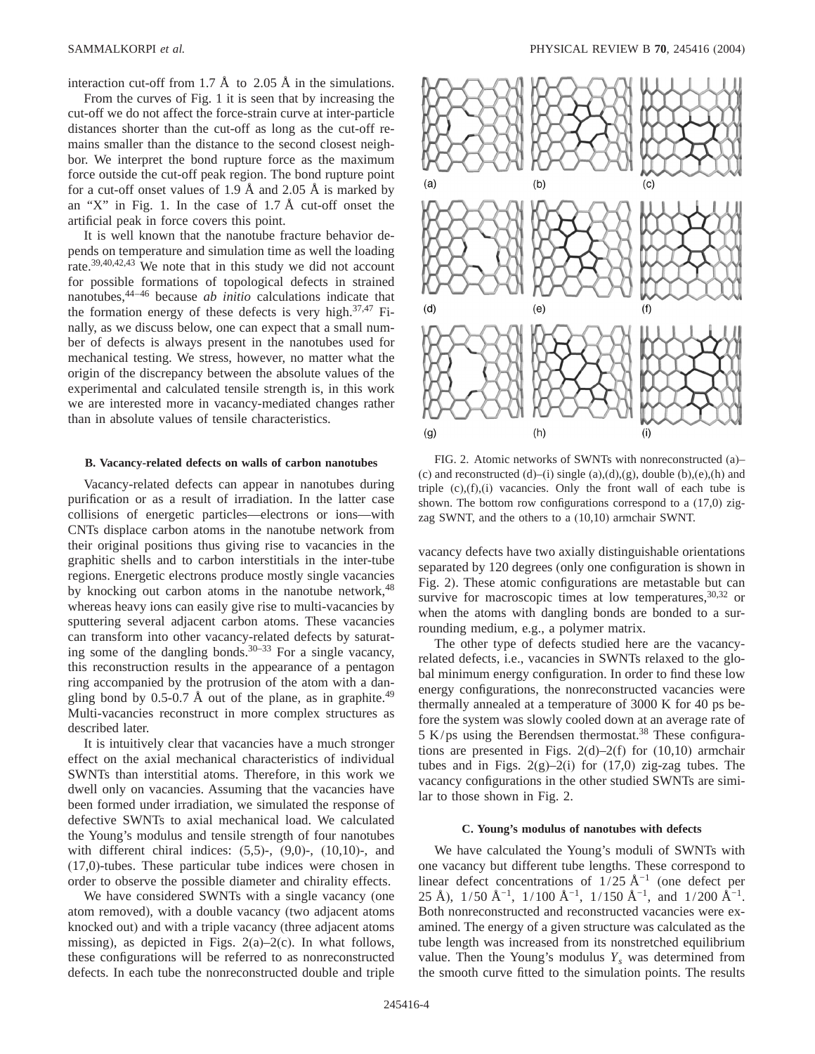interaction cut-off from 1.7 Å to 2.05 Å in the simulations. From the curves of Fig. 1 it is seen that by increasing the cut-off we do not affect the force-strain curve at inter-particle distances shorter than the cut-off as long as the cut-off remains smaller than the distance to the second closest neighbor. We interpret the bond rupture force as the maximum force outside the cut-off peak region. The bond rupture point for a cut-off onset values of 1.9 Å and 2.05 Å is marked by an "X" in Fig. 1. In the case of  $1.7 \text{ Å}$  cut-off onset the artificial peak in force covers this point.

It is well known that the nanotube fracture behavior depends on temperature and simulation time as well the loading rate.39,40,42,43 We note that in this study we did not account for possible formations of topological defects in strained nanotubes,44–46 because *ab initio* calculations indicate that the formation energy of these defects is very high.<sup>37,47</sup> Finally, as we discuss below, one can expect that a small number of defects is always present in the nanotubes used for mechanical testing. We stress, however, no matter what the origin of the discrepancy between the absolute values of the experimental and calculated tensile strength is, in this work we are interested more in vacancy-mediated changes rather than in absolute values of tensile characteristics.

#### **B. Vacancy-related defects on walls of carbon nanotubes**

Vacancy-related defects can appear in nanotubes during purification or as a result of irradiation. In the latter case collisions of energetic particles—electrons or ions—with CNTs displace carbon atoms in the nanotube network from their original positions thus giving rise to vacancies in the graphitic shells and to carbon interstitials in the inter-tube regions. Energetic electrons produce mostly single vacancies by knocking out carbon atoms in the nanotube network, <sup>48</sup> whereas heavy ions can easily give rise to multi-vacancies by sputtering several adjacent carbon atoms. These vacancies can transform into other vacancy-related defects by saturating some of the dangling bonds.30–33 For a single vacancy, this reconstruction results in the appearance of a pentagon ring accompanied by the protrusion of the atom with a dangling bond by  $0.5$ -0.7 Å out of the plane, as in graphite.<sup>49</sup> Multi-vacancies reconstruct in more complex structures as described later.

It is intuitively clear that vacancies have a much stronger effect on the axial mechanical characteristics of individual SWNTs than interstitial atoms. Therefore, in this work we dwell only on vacancies. Assuming that the vacancies have been formed under irradiation, we simulated the response of defective SWNTs to axial mechanical load. We calculated the Young's modulus and tensile strength of four nanotubes with different chiral indices: (5,5)-, (9,0)-, (10,10)-, and (17,0)-tubes. These particular tube indices were chosen in order to observe the possible diameter and chirality effects.

We have considered SWNTs with a single vacancy (one atom removed), with a double vacancy (two adjacent atoms knocked out) and with a triple vacancy (three adjacent atoms missing), as depicted in Figs.  $2(a)-2(c)$ . In what follows, these configurations will be referred to as nonreconstructed defects. In each tube the nonreconstructed double and triple



FIG. 2. Atomic networks of SWNTs with nonreconstructed (a)– (c) and reconstructed  $(d)$ –(i) single  $(a)$ , $(d)$ , $(g)$ , double  $(b)$ , $(e)$ , $(h)$  and triple  $(c)$ , $(f)$ , $(i)$  vacancies. Only the front wall of each tube is shown. The bottom row configurations correspond to a (17,0) zigzag SWNT, and the others to a (10,10) armchair SWNT.

vacancy defects have two axially distinguishable orientations separated by 120 degrees (only one configuration is shown in Fig. 2). These atomic configurations are metastable but can survive for macroscopic times at low temperatures,  $30,32$  or when the atoms with dangling bonds are bonded to a surrounding medium, e.g., a polymer matrix.

The other type of defects studied here are the vacancyrelated defects, i.e., vacancies in SWNTs relaxed to the global minimum energy configuration. In order to find these low energy configurations, the nonreconstructed vacancies were thermally annealed at a temperature of 3000 K for 40 ps before the system was slowly cooled down at an average rate of  $5 K/ps$  using the Berendsen thermostat.<sup>38</sup> These configurations are presented in Figs.  $2(d) - 2(f)$  for  $(10,10)$  armchair tubes and in Figs.  $2(g)-2(i)$  for  $(17,0)$  zig-zag tubes. The vacancy configurations in the other studied SWNTs are similar to those shown in Fig. 2.

## **C. Young's modulus of nanotubes with defects**

We have calculated the Young's moduli of SWNTs with one vacancy but different tube lengths. These correspond to linear defect concentrations of  $1/25$  Å<sup>-1</sup> (one defect per 25 Å),  $1/50$  Å<sup>-1</sup>,  $1/100$  Å<sup>-1</sup>,  $1/150$  Å<sup>-1</sup>, and  $1/200$  Å<sup>-1</sup>. Both nonreconstructed and reconstructed vacancies were examined. The energy of a given structure was calculated as the tube length was increased from its nonstretched equilibrium value. Then the Young's modulus  $Y_s$  was determined from the smooth curve fitted to the simulation points. The results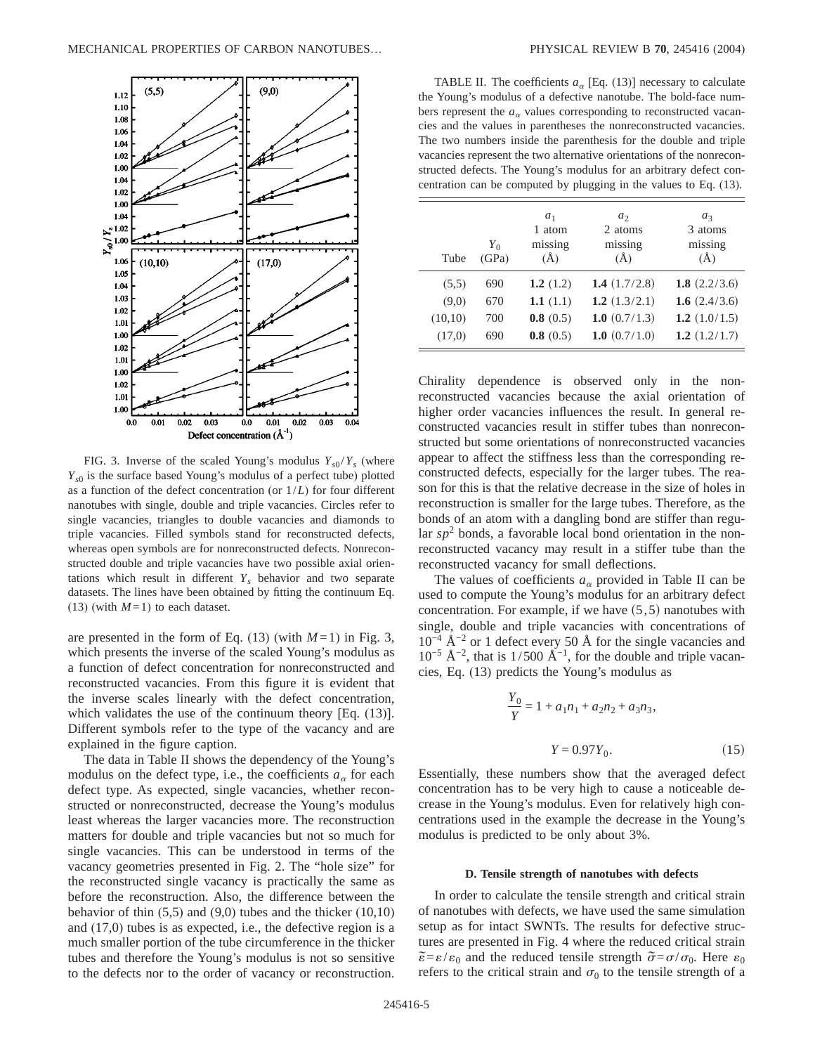

FIG. 3. Inverse of the scaled Young's modulus  $Y_{s0}/Y_s$  (where *Y<sub>s0</sub>* is the surface based Young's modulus of a perfect tube) plotted as a function of the defect concentration (or  $1/L$ ) for four different nanotubes with single, double and triple vacancies. Circles refer to single vacancies, triangles to double vacancies and diamonds to triple vacancies. Filled symbols stand for reconstructed defects, whereas open symbols are for nonreconstructed defects. Nonreconstructed double and triple vacancies have two possible axial orientations which result in different  $Y_s$  behavior and two separate datasets. The lines have been obtained by fitting the continuum Eq. (13) (with  $M=1$ ) to each dataset.

are presented in the form of Eq.  $(13)$  (with  $M=1$ ) in Fig. 3, which presents the inverse of the scaled Young's modulus as a function of defect concentration for nonreconstructed and reconstructed vacancies. From this figure it is evident that the inverse scales linearly with the defect concentration, which validates the use of the continuum theory [Eq. (13)]. Different symbols refer to the type of the vacancy and are explained in the figure caption.

The data in Table II shows the dependency of the Young's modulus on the defect type, i.e., the coefficients  $a_{\alpha}$  for each defect type. As expected, single vacancies, whether reconstructed or nonreconstructed, decrease the Young's modulus least whereas the larger vacancies more. The reconstruction matters for double and triple vacancies but not so much for single vacancies. This can be understood in terms of the vacancy geometries presented in Fig. 2. The "hole size" for the reconstructed single vacancy is practically the same as before the reconstruction. Also, the difference between the behavior of thin  $(5,5)$  and  $(9,0)$  tubes and the thicker  $(10,10)$ and (17,0) tubes is as expected, i.e., the defective region is a much smaller portion of the tube circumference in the thicker tubes and therefore the Young's modulus is not so sensitive to the defects nor to the order of vacancy or reconstruction.

TABLE II. The coefficients  $a_{\alpha}$  [Eq. (13)] necessary to calculate the Young's modulus of a defective nanotube. The bold-face numbers represent the  $a_{\alpha}$  values corresponding to reconstructed vacancies and the values in parentheses the nonreconstructed vacancies. The two numbers inside the parenthesis for the double and triple vacancies represent the two alternative orientations of the nonreconstructed defects. The Young's modulus for an arbitrary defect concentration can be computed by plugging in the values to Eq. (13).

| Tube    | $Y_{0}$<br>(GPa) | a <sub>1</sub><br>1 atom<br>missing<br>$(\AA)$ | a <sub>2</sub><br>2 atoms<br>missing<br>$(\AA)$ | $a_3$<br>3 atoms<br>missing<br>$\rm(\AA)$ |
|---------|------------------|------------------------------------------------|-------------------------------------------------|-------------------------------------------|
| (5,5)   | 690              | 1.2 $(1.2)$                                    | 1.4 $(1.7/2.8)$                                 | 1.8 $(2.2/3.6)$                           |
| (9,0)   | 670              | 1.1 $(1.1)$                                    | 1.2 $(1.3/2.1)$                                 | 1.6 $(2.4/3.6)$                           |
| (10,10) | 700              | 0.8(0.5)                                       | 1.0 $(0.7/1.3)$                                 | 1.2 $(1.0/1.5)$                           |
| (17,0)  | 690              | 0.8(0.5)                                       | 1.0 $(0.7/1.0)$                                 | 1.2 $(1.2/1.7)$                           |

Chirality dependence is observed only in the nonreconstructed vacancies because the axial orientation of higher order vacancies influences the result. In general reconstructed vacancies result in stiffer tubes than nonreconstructed but some orientations of nonreconstructed vacancies appear to affect the stiffness less than the corresponding reconstructed defects, especially for the larger tubes. The reason for this is that the relative decrease in the size of holes in reconstruction is smaller for the large tubes. Therefore, as the bonds of an atom with a dangling bond are stiffer than regular  $sp<sup>2</sup>$  bonds, a favorable local bond orientation in the nonreconstructed vacancy may result in a stiffer tube than the reconstructed vacancy for small deflections.

The values of coefficients  $a_{\alpha}$  provided in Table II can be used to compute the Young's modulus for an arbitrary defect concentration. For example, if we have  $(5,5)$  nanotubes with single, double and triple vacancies with concentrations of  $10^{-4}$  Å<sup>-2</sup> or 1 defect every 50 Å for the single vacancies and  $10^{-5}$  Å<sup>-2</sup>, that is 1/500 Å<sup>-1</sup>, for the double and triple vacancies, Eq. (13) predicts the Young's modulus as

$$
\frac{Y_0}{Y} = 1 + a_1 n_1 + a_2 n_2 + a_3 n_3,
$$
  

$$
Y = 0.97 Y_0.
$$
 (15)

Essentially, these numbers show that the averaged defect concentration has to be very high to cause a noticeable decrease in the Young's modulus. Even for relatively high concentrations used in the example the decrease in the Young's modulus is predicted to be only about 3%.

#### **D. Tensile strength of nanotubes with defects**

In order to calculate the tensile strength and critical strain of nanotubes with defects, we have used the same simulation setup as for intact SWNTs. The results for defective structures are presented in Fig. 4 where the reduced critical strain  $\tilde{\epsilon} = \epsilon/\epsilon_0$  and the reduced tensile strength  $\tilde{\sigma} = \sigma/\sigma_0$ . Here  $\epsilon_0$ refers to the critical strain and  $\sigma_0$  to the tensile strength of a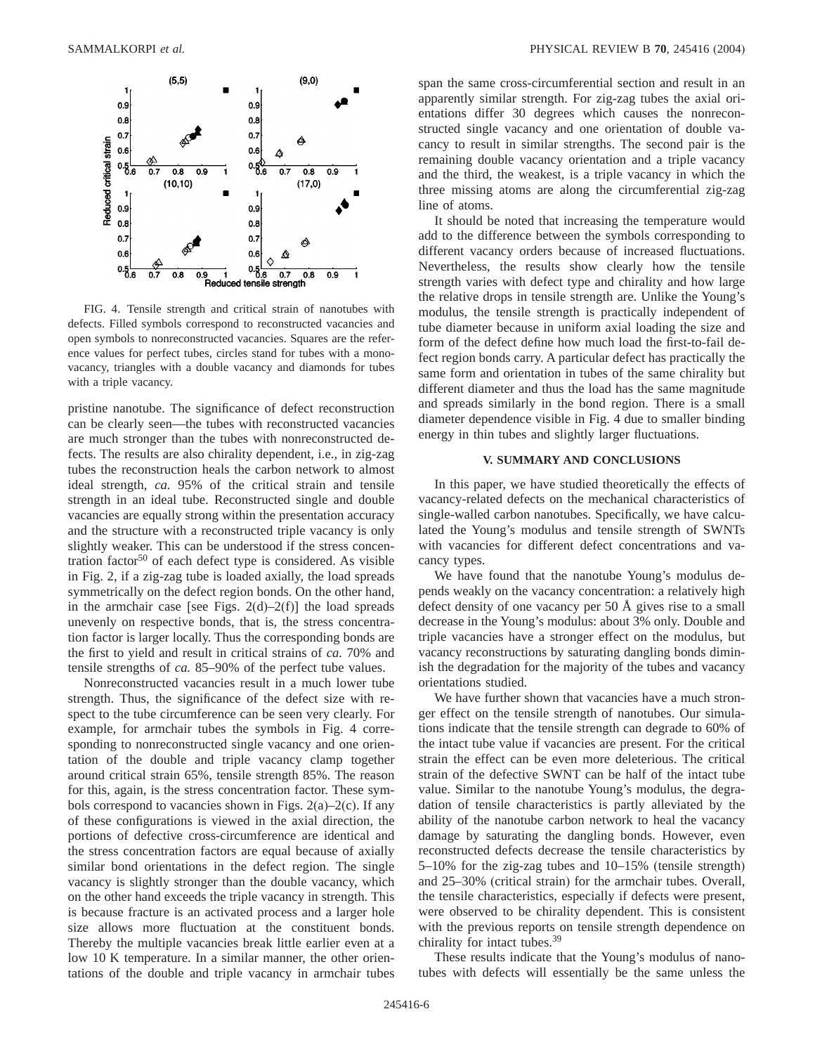

FIG. 4. Tensile strength and critical strain of nanotubes with defects. Filled symbols correspond to reconstructed vacancies and open symbols to nonreconstructed vacancies. Squares are the reference values for perfect tubes, circles stand for tubes with a monovacancy, triangles with a double vacancy and diamonds for tubes with a triple vacancy.

pristine nanotube. The significance of defect reconstruction can be clearly seen—the tubes with reconstructed vacancies are much stronger than the tubes with nonreconstructed defects. The results are also chirality dependent, i.e., in zig-zag tubes the reconstruction heals the carbon network to almost ideal strength, *ca.* 95% of the critical strain and tensile strength in an ideal tube. Reconstructed single and double vacancies are equally strong within the presentation accuracy and the structure with a reconstructed triple vacancy is only slightly weaker. This can be understood if the stress concentration factor<sup>50</sup> of each defect type is considered. As visible in Fig. 2, if a zig-zag tube is loaded axially, the load spreads symmetrically on the defect region bonds. On the other hand, in the armchair case [see Figs.  $2(d) - 2(f)$ ] the load spreads unevenly on respective bonds, that is, the stress concentration factor is larger locally. Thus the corresponding bonds are the first to yield and result in critical strains of *ca.* 70% and tensile strengths of *ca.* 85–90% of the perfect tube values.

Nonreconstructed vacancies result in a much lower tube strength. Thus, the significance of the defect size with respect to the tube circumference can be seen very clearly. For example, for armchair tubes the symbols in Fig. 4 corresponding to nonreconstructed single vacancy and one orientation of the double and triple vacancy clamp together around critical strain 65%, tensile strength 85%. The reason for this, again, is the stress concentration factor. These symbols correspond to vacancies shown in Figs.  $2(a)-2(c)$ . If any of these configurations is viewed in the axial direction, the portions of defective cross-circumference are identical and the stress concentration factors are equal because of axially similar bond orientations in the defect region. The single vacancy is slightly stronger than the double vacancy, which on the other hand exceeds the triple vacancy in strength. This is because fracture is an activated process and a larger hole size allows more fluctuation at the constituent bonds. Thereby the multiple vacancies break little earlier even at a low 10 K temperature. In a similar manner, the other orientations of the double and triple vacancy in armchair tubes span the same cross-circumferential section and result in an apparently similar strength. For zig-zag tubes the axial orientations differ 30 degrees which causes the nonreconstructed single vacancy and one orientation of double vacancy to result in similar strengths. The second pair is the remaining double vacancy orientation and a triple vacancy and the third, the weakest, is a triple vacancy in which the three missing atoms are along the circumferential zig-zag line of atoms.

It should be noted that increasing the temperature would add to the difference between the symbols corresponding to different vacancy orders because of increased fluctuations. Nevertheless, the results show clearly how the tensile strength varies with defect type and chirality and how large the relative drops in tensile strength are. Unlike the Young's modulus, the tensile strength is practically independent of tube diameter because in uniform axial loading the size and form of the defect define how much load the first-to-fail defect region bonds carry. A particular defect has practically the same form and orientation in tubes of the same chirality but different diameter and thus the load has the same magnitude and spreads similarly in the bond region. There is a small diameter dependence visible in Fig. 4 due to smaller binding energy in thin tubes and slightly larger fluctuations.

## **V. SUMMARY AND CONCLUSIONS**

In this paper, we have studied theoretically the effects of vacancy-related defects on the mechanical characteristics of single-walled carbon nanotubes. Specifically, we have calculated the Young's modulus and tensile strength of SWNTs with vacancies for different defect concentrations and vacancy types.

We have found that the nanotube Young's modulus depends weakly on the vacancy concentration: a relatively high defect density of one vacancy per 50 Å gives rise to a small decrease in the Young's modulus: about 3% only. Double and triple vacancies have a stronger effect on the modulus, but vacancy reconstructions by saturating dangling bonds diminish the degradation for the majority of the tubes and vacancy orientations studied.

We have further shown that vacancies have a much stronger effect on the tensile strength of nanotubes. Our simulations indicate that the tensile strength can degrade to 60% of the intact tube value if vacancies are present. For the critical strain the effect can be even more deleterious. The critical strain of the defective SWNT can be half of the intact tube value. Similar to the nanotube Young's modulus, the degradation of tensile characteristics is partly alleviated by the ability of the nanotube carbon network to heal the vacancy damage by saturating the dangling bonds. However, even reconstructed defects decrease the tensile characteristics by 5–10% for the zig-zag tubes and 10–15% (tensile strength) and 25–30% (critical strain) for the armchair tubes. Overall, the tensile characteristics, especially if defects were present, were observed to be chirality dependent. This is consistent with the previous reports on tensile strength dependence on chirality for intact tubes.39

These results indicate that the Young's modulus of nanotubes with defects will essentially be the same unless the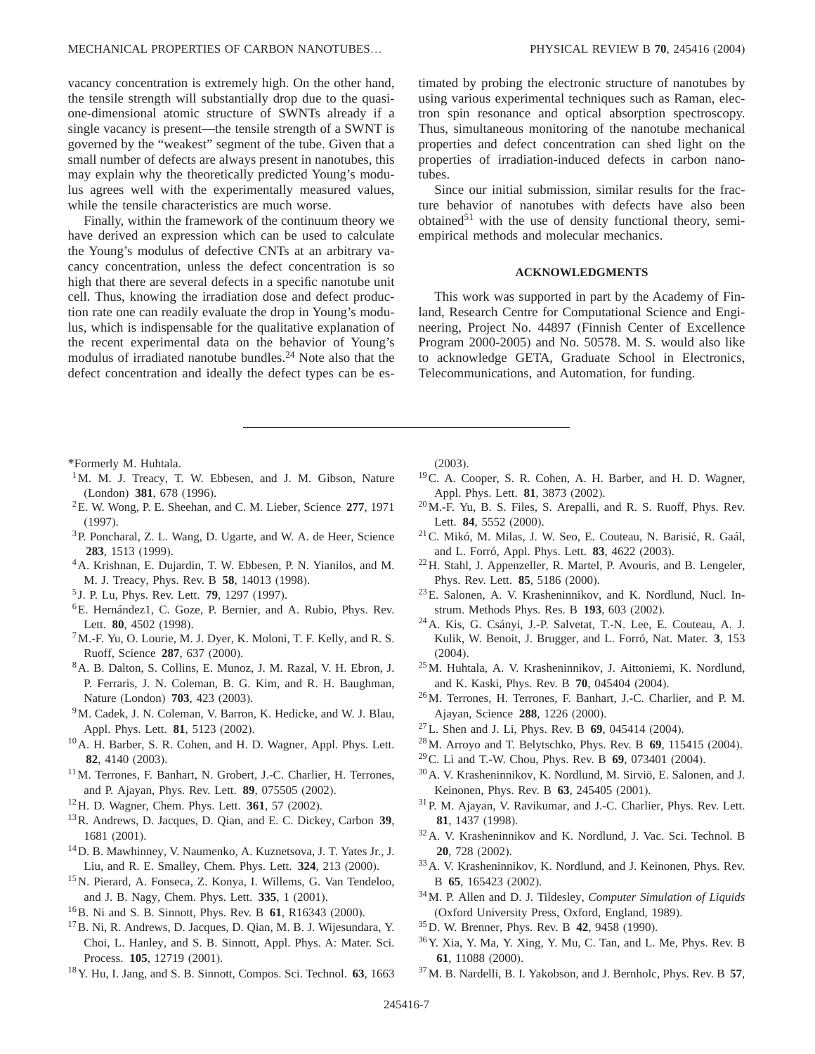vacancy concentration is extremely high. On the other hand, the tensile strength will substantially drop due to the quasione-dimensional atomic structure of SWNTs already if a single vacancy is present—the tensile strength of a SWNT is governed by the "weakest" segment of the tube. Given that a small number of defects are always present in nanotubes, this may explain why the theoretically predicted Young's modulus agrees well with the experimentally measured values, while the tensile characteristics are much worse.

Finally, within the framework of the continuum theory we have derived an expression which can be used to calculate the Young's modulus of defective CNTs at an arbitrary vacancy concentration, unless the defect concentration is so high that there are several defects in a specific nanotube unit cell. Thus, knowing the irradiation dose and defect production rate one can readily evaluate the drop in Young's modulus, which is indispensable for the qualitative explanation of the recent experimental data on the behavior of Young's modulus of irradiated nanotube bundles.24 Note also that the defect concentration and ideally the defect types can be estimated by probing the electronic structure of nanotubes by using various experimental techniques such as Raman, electron spin resonance and optical absorption spectroscopy. Thus, simultaneous monitoring of the nanotube mechanical properties and defect concentration can shed light on the properties of irradiation-induced defects in carbon nanotubes.

Since our initial submission, similar results for the fracture behavior of nanotubes with defects have also been obtained<sup>51</sup> with the use of density functional theory, semiempirical methods and molecular mechanics.

## **ACKNOWLEDGMENTS**

This work was supported in part by the Academy of Finland, Research Centre for Computational Science and Engineering, Project No. 44897 (Finnish Center of Excellence Program 2000-2005) and No. 50578. M. S. would also like to acknowledge GETA, Graduate School in Electronics, Telecommunications, and Automation, for funding.

\*Formerly M. Huhtala.

- <sup>1</sup>M. M. J. Treacy, T. W. Ebbesen, and J. M. Gibson, Nature (London) **381**, 678 (1996).
- 2E. W. Wong, P. E. Sheehan, and C. M. Lieber, Science **277**, 1971 (1997).
- 3P. Poncharal, Z. L. Wang, D. Ugarte, and W. A. de Heer, Science **283**, 1513 (1999).
- 4A. Krishnan, E. Dujardin, T. W. Ebbesen, P. N. Yianilos, and M. M. J. Treacy, Phys. Rev. B **58**, 14013 (1998).
- <sup>5</sup> J. P. Lu, Phys. Rev. Lett. **79**, 1297 (1997).
- 6E. Hernández1, C. Goze, P. Bernier, and A. Rubio, Phys. Rev. Lett. **80**, 4502 (1998).
- 7M.-F. Yu, O. Lourie, M. J. Dyer, K. Moloni, T. F. Kelly, and R. S. Ruoff, Science **287**, 637 (2000).
- 8A. B. Dalton, S. Collins, E. Munoz, J. M. Razal, V. H. Ebron, J. P. Ferraris, J. N. Coleman, B. G. Kim, and R. H. Baughman, Nature (London) **703**, 423 (2003).
- <sup>9</sup>M. Cadek, J. N. Coleman, V. Barron, K. Hedicke, and W. J. Blau, Appl. Phys. Lett. **81**, 5123 (2002).
- 10A. H. Barber, S. R. Cohen, and H. D. Wagner, Appl. Phys. Lett. **82**, 4140 (2003).
- 11M. Terrones, F. Banhart, N. Grobert, J.-C. Charlier, H. Terrones, and P. Ajayan, Phys. Rev. Lett. **89**, 075505 (2002).
- 12H. D. Wagner, Chem. Phys. Lett. **361**, 57 (2002).
- 13R. Andrews, D. Jacques, D. Qian, and E. C. Dickey, Carbon **39**, 1681 (2001).
- 14D. B. Mawhinney, V. Naumenko, A. Kuznetsova, J. T. Yates Jr., J. Liu, and R. E. Smalley, Chem. Phys. Lett. **324**, 213 (2000).
- 15N. Pierard, A. Fonseca, Z. Konya, I. Willems, G. Van Tendeloo, and J. B. Nagy, Chem. Phys. Lett. **335**, 1 (2001).
- 16B. Ni and S. B. Sinnott, Phys. Rev. B **61**, R16343 (2000).
- 17B. Ni, R. Andrews, D. Jacques, D. Qian, M. B. J. Wijesundara, Y. Choi, L. Hanley, and S. B. Sinnott, Appl. Phys. A: Mater. Sci. Process. **105**, 12719 (2001).
- 18Y. Hu, I. Jang, and S. B. Sinnott, Compos. Sci. Technol. **63**, 1663

(2003).

- 19C. A. Cooper, S. R. Cohen, A. H. Barber, and H. D. Wagner, Appl. Phys. Lett. **81**, 3873 (2002).
- 20M.-F. Yu, B. S. Files, S. Arepalli, and R. S. Ruoff, Phys. Rev. Lett. **84**, 5552 (2000).
- 21C. Mikó, M. Milas, J. W. Seo, E. Couteau, N. Barisić, R. Gaál, and L. Forró, Appl. Phys. Lett. **83**, 4622 (2003).
- 22H. Stahl, J. Appenzeller, R. Martel, P. Avouris, and B. Lengeler, Phys. Rev. Lett. **85**, 5186 (2000).
- 23E. Salonen, A. V. Krasheninnikov, and K. Nordlund, Nucl. Instrum. Methods Phys. Res. B **193**, 603 (2002).
- 24A. Kis, G. Csányi, J.-P. Salvetat, T.-N. Lee, E. Couteau, A. J. Kulik, W. Benoit, J. Brugger, and L. Forró, Nat. Mater. **3**, 153 (2004).
- 25M. Huhtala, A. V. Krasheninnikov, J. Aittoniemi, K. Nordlund, and K. Kaski, Phys. Rev. B **70**, 045404 (2004).
- 26M. Terrones, H. Terrones, F. Banhart, J.-C. Charlier, and P. M. Ajayan, Science **288**, 1226 (2000).
- 27L. Shen and J. Li, Phys. Rev. B **69**, 045414 (2004).
- 28M. Arroyo and T. Belytschko, Phys. Rev. B **69**, 115415 (2004).
- 29C. Li and T.-W. Chou, Phys. Rev. B **69**, 073401 (2004).
- 30A. V. Krasheninnikov, K. Nordlund, M. Sirviö, E. Salonen, and J. Keinonen, Phys. Rev. B **63**, 245405 (2001).
- 31P. M. Ajayan, V. Ravikumar, and J.-C. Charlier, Phys. Rev. Lett. **81**, 1437 (1998).
- 32A. V. Krasheninnikov and K. Nordlund, J. Vac. Sci. Technol. B **20**, 728 (2002).
- 33A. V. Krasheninnikov, K. Nordlund, and J. Keinonen, Phys. Rev. B **65**, 165423 (2002).
- 34M. P. Allen and D. J. Tildesley, *Computer Simulation of Liquids* (Oxford University Press, Oxford, England, 1989).
- 35D. W. Brenner, Phys. Rev. B **42**, 9458 (1990).
- 36Y. Xia, Y. Ma, Y. Xing, Y. Mu, C. Tan, and L. Me, Phys. Rev. B **61**, 11088 (2000).
- 37M. B. Nardelli, B. I. Yakobson, and J. Bernholc, Phys. Rev. B **57**,